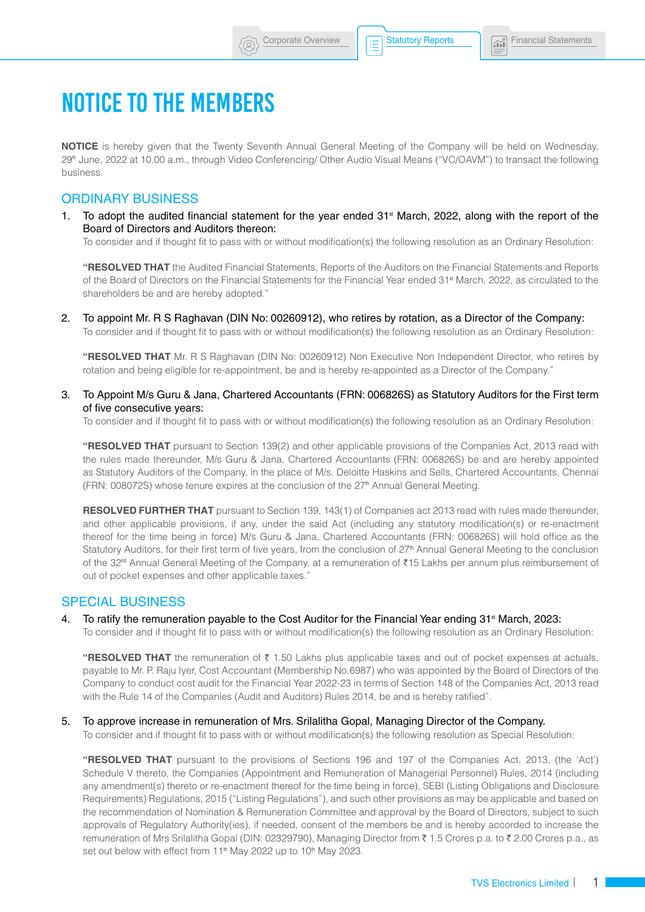# NOTICE TO THE MEMBERS

**NOTICE** is hereby given that the Twenty Seventh Annual General Meeting of the Company will be held on Wednesday, 29th June, 2022 at 10.00 a.m., through Video Conferencing/ Other Audio Visual Means ("VC/OAVM") to transact the following business.

# ORDINARY BUSINESS

1. To adopt the audited financial statement for the year ended  $31<sup>st</sup>$  March, 2022, along with the report of the Board of Directors and Auditors thereon:

To consider and if thought fit to pass with or without modification(s) the following resolution as an Ordinary Resolution:

**"RESOLVED THAT** the Audited Financial Statements, Reports of the Auditors on the Financial Statements and Reports of the Board of Directors on the Financial Statements for the Financial Year ended 31<sup>st</sup> March, 2022, as circulated to the shareholders be and are hereby adopted."

2. To appoint Mr. R S Raghavan (DIN No: 00260912), who retires by rotation, as a Director of the Company: To consider and if thought fit to pass with or without modification(s) the following resolution as an Ordinary Resolution:

**"RESOLVED THAT** Mr. R S Raghavan (DIN No: 00260912) Non Executive Non Independent Director, who retires by rotation and being eligible for re-appointment, be and is hereby re-appointed as a Director of the Company."

3. To Appoint M/s Guru & Jana, Chartered Accountants (FRN: 006826S) as Statutory Auditors for the First term of five consecutive years:

To consider and if thought fit to pass with or without modification(s) the following resolution as an Ordinary Resolution:

**"RESOLVED THAT** pursuant to Section 139(2) and other applicable provisions of the Companies Act, 2013 read with the rules made thereunder, M/s Guru & Jana, Chartered Accountants (FRN: 006826S) be and are hereby appointed as Statutory Auditors of the Company, in the place of M/s. Deloitte Haskins and Sells, Chartered Accountants, Chennai (FRN: 008072S) whose tenure expires at the conclusion of the 27<sup>th</sup> Annual General Meeting.

**RESOLVED FURTHER THAT** pursuant to Section 139, 143(1) of Companies act 2013 read with rules made thereunder, and other applicable provisions, if any, under the said Act (including any statutory modification(s) or re-enactment thereof for the time being in force) M/s Guru & Jana, Chartered Accountants (FRN: 006826S) will hold office as the Statutory Auditors, for their first term of five years, from the conclusion of 27<sup>th</sup> Annual General Meeting to the conclusion of the 32<sup>nd</sup> Annual General Meeting of the Company, at a remuneration of ₹15 Lakhs per annum plus reimbursement of out of pocket expenses and other applicable taxes."

# SPECIAL BUSINESS

4. To ratify the remuneration payable to the Cost Auditor for the Financial Year ending 31<sup>st</sup> March, 2023:

To consider and if thought fit to pass with or without modification(s) the following resolution as an Ordinary Resolution:

"RESOLVED THAT the remuneration of ₹ 1.50 Lakhs plus applicable taxes and out of pocket expenses at actuals, payable to Mr. P. Raju Iyer, Cost Accountant (Membership No.6987) who was appointed by the Board of Directors of the Company to conduct cost audit for the Financial Year 2022-23 in terms of Section 148 of the Companies Act, 2013 read with the Rule 14 of the Companies (Audit and Auditors) Rules 2014, be and is hereby ratified".

#### 5. To approve increase in remuneration of Mrs. Srilalitha Gopal, Managing Director of the Company.

To consider and if thought fit to pass with or without modification(s) the following resolution as Special Resolution:

**"RESOLVED THAT** pursuant to the provisions of Sections 196 and 197 of the Companies Act, 2013, (the 'Act') Schedule V thereto, the Companies (Appointment and Remuneration of Managerial Personnel) Rules, 2014 (including any amendment(s) thereto or re-enactment thereof for the time being in force), SEBI (Listing Obligations and Disclosure Requirements) Regulations, 2015 ("Listing Regulations"), and such other provisions as may be applicable and based on the recommendation of Nomination & Remuneration Committee and approval by the Board of Directors, subject to such approvals of Regulatory Authority(ies), if needed, consent of the members be and is hereby accorded to increase the remuneration of Mrs Srilalitha Gopal (DIN: 02329790), Managing Director from ₹ 1.5 Crores p.a. to ₹ 2.00 Crores p.a., as set out below with effect from 11<sup>th</sup> May 2022 up to 10<sup>th</sup> May 2023.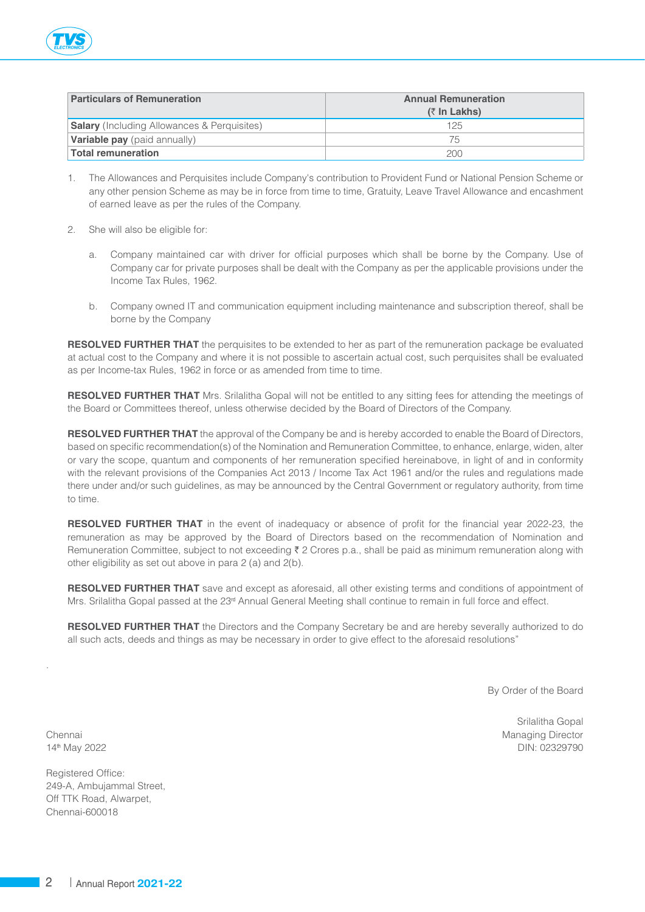| <b>Particulars of Remuneration</b>                 | <b>Annual Remuneration</b><br>$(3 \text{ In Lakhs})$ |
|----------------------------------------------------|------------------------------------------------------|
| <b>Salary</b> (Including Allowances & Perquisites) | 125                                                  |
| <b>Variable pay</b> (paid annually)                | 75                                                   |
| Total remuneration                                 | 200                                                  |

- 1. The Allowances and Perquisites include Company's contribution to Provident Fund or National Pension Scheme or any other pension Scheme as may be in force from time to time, Gratuity, Leave Travel Allowance and encashment of earned leave as per the rules of the Company.
- 2. She will also be eligible for:
	- a. Company maintained car with driver for official purposes which shall be borne by the Company. Use of Company car for private purposes shall be dealt with the Company as per the applicable provisions under the Income Tax Rules, 1962.
	- b. Company owned IT and communication equipment including maintenance and subscription thereof, shall be borne by the Company

**RESOLVED FURTHER THAT** the perquisites to be extended to her as part of the remuneration package be evaluated at actual cost to the Company and where it is not possible to ascertain actual cost, such perquisites shall be evaluated as per Income-tax Rules, 1962 in force or as amended from time to time.

**RESOLVED FURTHER THAT** Mrs. Srilalitha Gopal will not be entitled to any sitting fees for attending the meetings of the Board or Committees thereof, unless otherwise decided by the Board of Directors of the Company.

**RESOLVED FURTHER THAT** the approval of the Company be and is hereby accorded to enable the Board of Directors, based on specific recommendation(s) of the Nomination and Remuneration Committee, to enhance, enlarge, widen, alter or vary the scope, quantum and components of her remuneration specified hereinabove, in light of and in conformity with the relevant provisions of the Companies Act 2013 / Income Tax Act 1961 and/or the rules and regulations made there under and/or such guidelines, as may be announced by the Central Government or regulatory authority, from time to time.

**RESOLVED FURTHER THAT** in the event of inadequacy or absence of profit for the financial year 2022-23, the remuneration as may be approved by the Board of Directors based on the recommendation of Nomination and Remuneration Committee, subject to not exceeding ₹ 2 Crores p.a., shall be paid as minimum remuneration along with other eligibility as set out above in para 2 (a) and 2(b).

**RESOLVED FURTHER THAT** save and except as aforesaid, all other existing terms and conditions of appointment of Mrs. Srilalitha Gopal passed at the 23<sup>rd</sup> Annual General Meeting shall continue to remain in full force and effect.

**RESOLVED FURTHER THAT** the Directors and the Company Secretary be and are hereby severally authorized to do all such acts, deeds and things as may be necessary in order to give effect to the aforesaid resolutions"

By Order of the Board

Srilalitha Gopal Chennai Managing Director National Managing Director National Managing Director 14th May 2022 DIN: 02329790

.

Registered Office: 249-A, Ambujammal Street, Off TTK Road, Alwarpet, Chennai-600018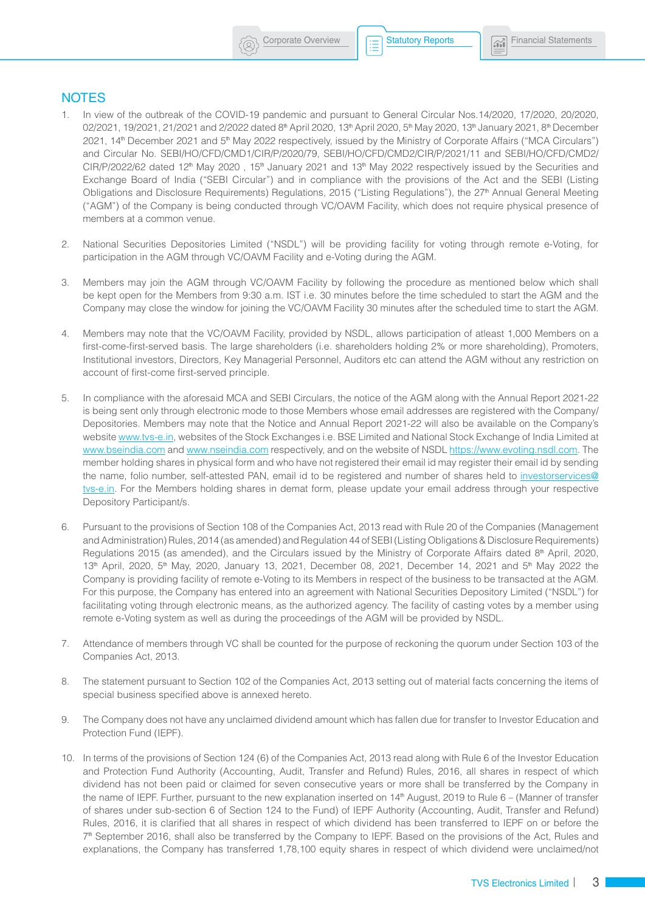# **NOTES**

- 1. In view of the outbreak of the COVID-19 pandemic and pursuant to General Circular Nos.14/2020, 17/2020, 20/2020, 02/2021, 19/2021, 21/2021 and 2/2022 dated 8<sup>th</sup> April 2020, 13<sup>th</sup> April 2020, 5<sup>th</sup> May 2020, 13<sup>th</sup> January 2021, 8<sup>th</sup> December 2021, 14<sup>th</sup> December 2021 and 5<sup>th</sup> May 2022 respectively, issued by the Ministry of Corporate Affairs ("MCA Circulars") and Circular No. SEBI/HO/CFD/CMD1/CIR/P/2020/79, SEBI/HO/CFD/CMD2/CIR/P/2021/11 and SEBI/HO/CFD/CMD2/  $CIR/P/2022/62$  dated 12<sup>th</sup> May 2020, 15<sup>th</sup> January 2021 and 13<sup>th</sup> May 2022 respectively issued by the Securities and Exchange Board of India ("SEBI Circular") and in compliance with the provisions of the Act and the SEBI (Listing Obligations and Disclosure Requirements) Regulations, 2015 ("Listing Regulations"), the 27<sup>th</sup> Annual General Meeting ("AGM") of the Company is being conducted through VC/OAVM Facility, which does not require physical presence of members at a common venue.
- 2. National Securities Depositories Limited ("NSDL") will be providing facility for voting through remote e-Voting, for participation in the AGM through VC/OAVM Facility and e-Voting during the AGM.
- 3. Members may join the AGM through VC/OAVM Facility by following the procedure as mentioned below which shall be kept open for the Members from 9:30 a.m. IST i.e. 30 minutes before the time scheduled to start the AGM and the Company may close the window for joining the VC/OAVM Facility 30 minutes after the scheduled time to start the AGM.
- 4. Members may note that the VC/OAVM Facility, provided by NSDL, allows participation of atleast 1,000 Members on a first-come-first-served basis. The large shareholders (i.e. shareholders holding 2% or more shareholding), Promoters, Institutional investors, Directors, Key Managerial Personnel, Auditors etc can attend the AGM without any restriction on account of first-come first-served principle.
- 5. In compliance with the aforesaid MCA and SEBI Circulars, the notice of the AGM along with the Annual Report 2021-22 is being sent only through electronic mode to those Members whose email addresses are registered with the Company/ Depositories. Members may note that the Notice and Annual Report 2021-22 will also be available on the Company's website [www.tvs-e.in](http://www.tvs-e.in), websites of the Stock Exchanges i.e. BSE Limited and National Stock Exchange of India Limited at [www.bseindia.com](http://www.bseindia.com) and [www.nseindia.com](http://www.nseindia.com) respectively, and on the website of NSDL<https://www.evoting.nsdl.com>. The member holding shares in physical form and who have not registered their email id may register their email id by sending the name, folio number, self-attested PAN, email id to be registered and number of shares held to [investorservices@](mailto:investorservices@tvs-e.in) tys-e.in. For the Members holding shares in demat form, please update your email address through your respective Depository Participant/s.
- 6. Pursuant to the provisions of Section 108 of the Companies Act, 2013 read with Rule 20 of the Companies (Management and Administration) Rules, 2014 (as amended) and Regulation 44 of SEBI (Listing Obligations & Disclosure Requirements) Regulations 2015 (as amended), and the Circulars issued by the Ministry of Corporate Affairs dated  $8<sup>th</sup>$  April, 2020, 13<sup>th</sup> April, 2020, 5<sup>th</sup> May, 2020, January 13, 2021, December 08, 2021, December 14, 2021 and 5<sup>th</sup> May 2022 the Company is providing facility of remote e-Voting to its Members in respect of the business to be transacted at the AGM. For this purpose, the Company has entered into an agreement with National Securities Depository Limited ("NSDL") for facilitating voting through electronic means, as the authorized agency. The facility of casting votes by a member using remote e-Voting system as well as during the proceedings of the AGM will be provided by NSDL.
- 7. Attendance of members through VC shall be counted for the purpose of reckoning the quorum under Section 103 of the Companies Act, 2013.
- 8. The statement pursuant to Section 102 of the Companies Act, 2013 setting out of material facts concerning the items of special business specified above is annexed hereto.
- 9. The Company does not have any unclaimed dividend amount which has fallen due for transfer to Investor Education and Protection Fund (IEPF).
- 10. In terms of the provisions of Section 124 (6) of the Companies Act, 2013 read along with Rule 6 of the Investor Education and Protection Fund Authority (Accounting, Audit, Transfer and Refund) Rules, 2016, all shares in respect of which dividend has not been paid or claimed for seven consecutive years or more shall be transferred by the Company in the name of IEPF. Further, pursuant to the new explanation inserted on 14<sup>th</sup> August, 2019 to Rule 6 - (Manner of transfer of shares under sub-section 6 of Section 124 to the Fund) of IEPF Authority (Accounting, Audit, Transfer and Refund) Rules, 2016, it is clarified that all shares in respect of which dividend has been transferred to IEPF on or before the 7th September 2016, shall also be transferred by the Company to IEPF. Based on the provisions of the Act, Rules and explanations, the Company has transferred 1,78,100 equity shares in respect of which dividend were unclaimed/not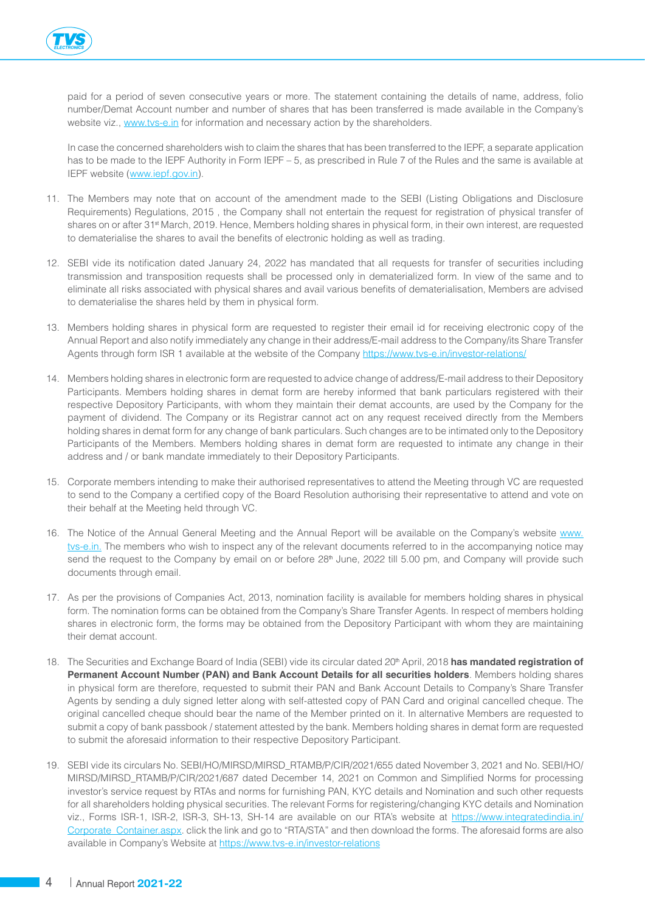

paid for a period of seven consecutive years or more. The statement containing the details of name, address, folio number/Demat Account number and number of shares that has been transferred is made available in the Company's website viz., [www.tvs-e.in](http://www.tvs-e.in) for information and necessary action by the shareholders.

In case the concerned shareholders wish to claim the shares that has been transferred to the IEPF, a separate application has to be made to the IEPF Authority in Form IEPF – 5, as prescribed in Rule 7 of the Rules and the same is available at IEPF website ([www.iepf.gov.in\)](http://www.iepf.gov.in).

- 11. The Members may note that on account of the amendment made to the SEBI (Listing Obligations and Disclosure Requirements) Regulations, 2015 , the Company shall not entertain the request for registration of physical transfer of shares on or after 31<sup>st</sup> March, 2019. Hence, Members holding shares in physical form, in their own interest, are requested to dematerialise the shares to avail the benefits of electronic holding as well as trading.
- 12. SEBI vide its notification dated January 24, 2022 has mandated that all requests for transfer of securities including transmission and transposition requests shall be processed only in dematerialized form. In view of the same and to eliminate all risks associated with physical shares and avail various benefits of dematerialisation, Members are advised to dematerialise the shares held by them in physical form.
- 13. Members holding shares in physical form are requested to register their email id for receiving electronic copy of the Annual Report and also notify immediately any change in their address/E-mail address to the Company/its Share Transfer Agents through form ISR 1 available at the website of the Company <https://www.tvs-e.in/investor-relations/>
- 14. Members holding shares in electronic form are requested to advice change of address/E-mail address to their Depository Participants. Members holding shares in demat form are hereby informed that bank particulars registered with their respective Depository Participants, with whom they maintain their demat accounts, are used by the Company for the payment of dividend. The Company or its Registrar cannot act on any request received directly from the Members holding shares in demat form for any change of bank particulars. Such changes are to be intimated only to the Depository Participants of the Members. Members holding shares in demat form are requested to intimate any change in their address and / or bank mandate immediately to their Depository Participants.
- 15. Corporate members intending to make their authorised representatives to attend the Meeting through VC are requested to send to the Company a certified copy of the Board Resolution authorising their representative to attend and vote on their behalf at the Meeting held through VC.
- 16. The Notice of the Annual General Meeting and the Annual Report will be available on the Company's website [www.](http://www.tvs-e.in) tys-e.in. The members who wish to inspect any of the relevant documents referred to in the accompanying notice may send the request to the Company by email on or before 28<sup>th</sup> June, 2022 till 5.00 pm, and Company will provide such documents through email.
- 17. As per the provisions of Companies Act, 2013, nomination facility is available for members holding shares in physical form. The nomination forms can be obtained from the Company's Share Transfer Agents. In respect of members holding shares in electronic form, the forms may be obtained from the Depository Participant with whom they are maintaining their demat account.
- 18. The Securities and Exchange Board of India (SEBI) vide its circular dated 20<sup>th</sup> April, 2018 has mandated registration of **Permanent Account Number (PAN) and Bank Account Details for all securities holders**. Members holding shares in physical form are therefore, requested to submit their PAN and Bank Account Details to Company's Share Transfer Agents by sending a duly signed letter along with self-attested copy of PAN Card and original cancelled cheque. The original cancelled cheque should bear the name of the Member printed on it. In alternative Members are requested to submit a copy of bank passbook / statement attested by the bank. Members holding shares in demat form are requested to submit the aforesaid information to their respective Depository Participant.
- 19. SEBI vide its circulars No. SEBI/HO/MIRSD/MIRSD\_RTAMB/P/CIR/2021/655 dated November 3, 2021 and No. SEBI/HO/ MIRSD/MIRSD\_RTAMB/P/CIR/2021/687 dated December 14, 2021 on Common and Simplified Norms for processing investor's service request by RTAs and norms for furnishing PAN, KYC details and Nomination and such other requests for all shareholders holding physical securities. The relevant Forms for registering/changing KYC details and Nomination viz., Forms ISR-1, ISR-2, ISR-3, SH-13, SH-14 are available on our RTA's website at [https://www.integratedindia.in/](https://www.integratedindia.in/Corporate_Container.aspx) [Corporate\\_Container.aspx.](https://www.integratedindia.in/Corporate_Container.aspx) click the link and go to "RTA/STA" and then download the forms. The aforesaid forms are also available in Company's Website at <https://www.tvs-e.in/investor-relations>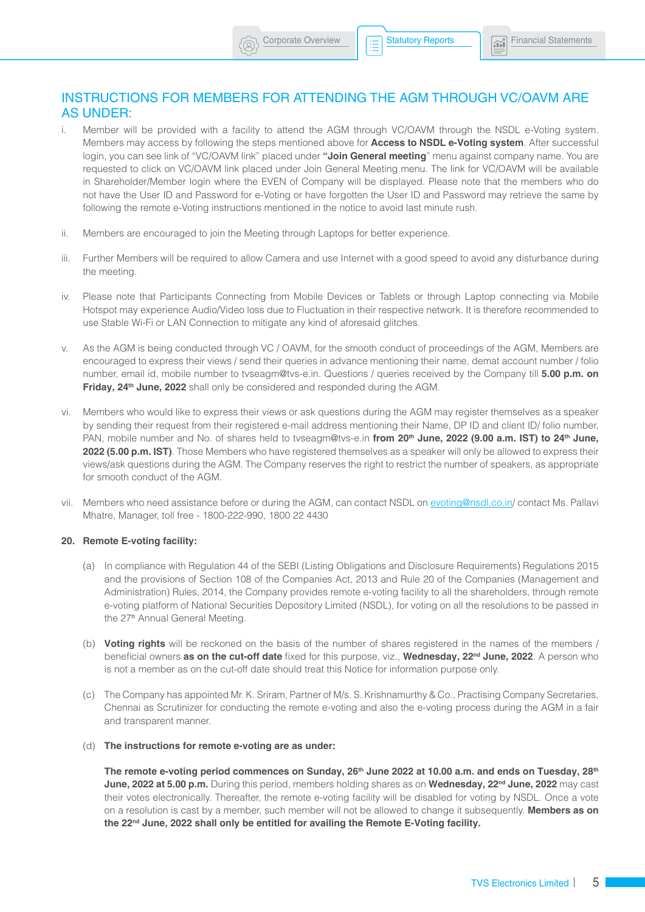# INSTRUCTIONS FOR MEMBERS FOR ATTENDING THE AGM THROUGH VC/OAVM ARE AS UNDER:

- i. Member will be provided with a facility to attend the AGM through VC/OAVM through the NSDL e-Voting system. Members may access by following the steps mentioned above for **Access to NSDL e-Voting system**. After successful login, you can see link of "VC/OAVM link" placed under **"Join General meeting**" menu against company name. You are requested to click on VC/OAVM link placed under Join General Meeting menu. The link for VC/OAVM will be available in Shareholder/Member login where the EVEN of Company will be displayed. Please note that the members who do not have the User ID and Password for e-Voting or have forgotten the User ID and Password may retrieve the same by following the remote e-Voting instructions mentioned in the notice to avoid last minute rush.
- ii. Members are encouraged to join the Meeting through Laptops for better experience.
- iii. Further Members will be required to allow Camera and use Internet with a good speed to avoid any disturbance during the meeting.
- iv. Please note that Participants Connecting from Mobile Devices or Tablets or through Laptop connecting via Mobile Hotspot may experience Audio/Video loss due to Fluctuation in their respective network. It is therefore recommended to use Stable Wi-Fi or LAN Connection to mitigate any kind of aforesaid glitches.
- v. As the AGM is being conducted through VC / OAVM, for the smooth conduct of proceedings of the AGM, Members are encouraged to express their views / send their queries in advance mentioning their name, demat account number / folio number, email id, mobile number to [tvseagm@tvs-e.in](mailto:tvseagm@tvs-e.in). Questions / queries received by the Company till **5.00 p.m. on**  Friday, 24<sup>th</sup> June, 2022 shall only be considered and responded during the AGM.
- vi. Members who would like to express their views or ask questions during the AGM may register themselves as a speaker by sending their request from their registered e-mail address mentioning their Name, DP ID and client ID/ folio number, PAN, mobile number and No. of shares held to [tvseagm@tvs-e.in](mailto:tvseagm@tvs-e.in) from 20<sup>th</sup> June, 2022 (9.00 a.m. IST) to 24<sup>th</sup> June, 2022 (5.00 p.m. IST). Those Members who have registered themselves as a speaker will only be allowed to express their views/ask questions during the AGM. The Company reserves the right to restrict the number of speakers, as appropriate for smooth conduct of the AGM.
- vii. Members who need assistance before or during the AGM, can contact NSDL on [evoting@nsdl.co.in](mailto:evoting@nsdl.co.in)/ contact Ms. Pallavi Mhatre, Manager, toll free - 1800-222-990, 1800 22 4430

#### **20. Remote E-voting facility:**

- (a) In compliance with Regulation 44 of the SEBI (Listing Obligations and Disclosure Requirements) Regulations 2015 and the provisions of Section 108 of the Companies Act, 2013 and Rule 20 of the Companies (Management and Administration) Rules, 2014, the Company provides remote e-voting facility to all the shareholders, through remote e-voting platform of National Securities Depository Limited (NSDL), for voting on all the resolutions to be passed in the 27<sup>th</sup> Annual General Meeting.
- (b) **Voting rights** will be reckoned on the basis of the number of shares registered in the names of the members / beneficial owners **as on the cut-off date** fixed for this purpose, viz., Wednesday, 22<sup>nd</sup> June, 2022. A person who is not a member as on the cut-off date should treat this Notice for information purpose only.
- (c) The Company has appointed Mr. K. Sriram, Partner of M/s. S. Krishnamurthy & Co., Practising Company Secretaries, Chennai as Scrutinizer for conducting the remote e-voting and also the e-voting process during the AGM in a fair and transparent manner.
- (d) **The instructions for remote e-voting are as under:**

The remote e-voting period commences on Sunday, 26<sup>th</sup> June 2022 at 10.00 a.m. and ends on Tuesday, 28<sup>th</sup> **June, 2022 at 5.00 p.m.** During this period, members holding shares as on Wednesday, 22<sup>nd</sup> June, 2022 may cast their votes electronically. Thereafter, the remote e-voting facility will be disabled for voting by NSDL. Once a vote on a resolution is cast by a member, such member will not be allowed to change it subsequently. **Members as on**  the 22<sup>nd</sup> June, 2022 shall only be entitled for availing the Remote E-Voting facility.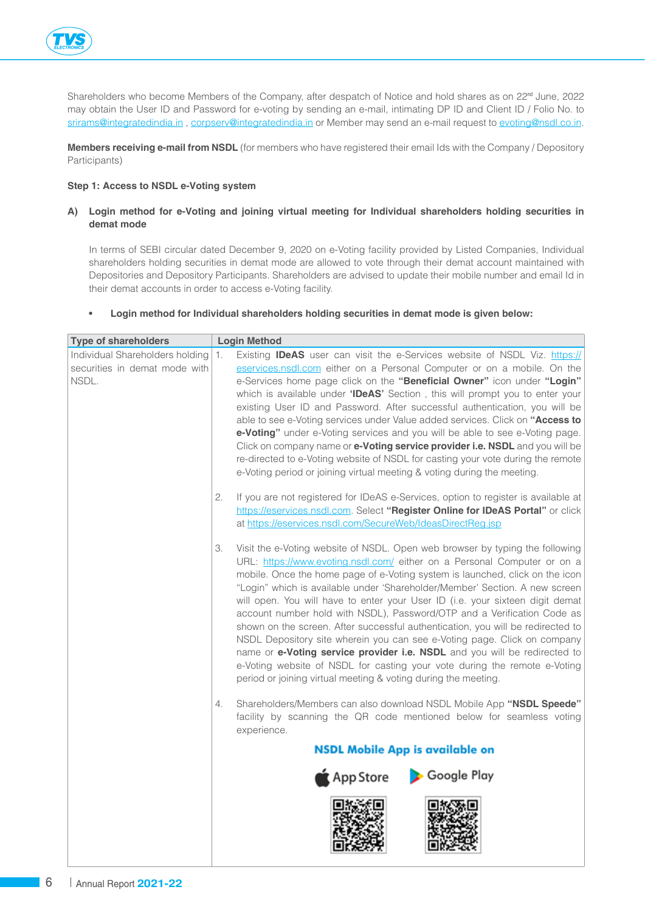

Shareholders who become Members of the Company, after despatch of Notice and hold shares as on 22<sup>nd</sup> June, 2022 may obtain the User ID and Password for e-voting by sending an e-mail, intimating DP ID and Client ID / Folio No. to [srirams@integratedindia.in](mailto:srirams@integratedindia.in), [corpserv@integratedindia.in](mailto:corpserv@integratedindia.in) or Member may send an e-mail request to [evoting@nsdl.co.in.](mailto:evoting@nsdl.co.in)

**Members receiving e-mail from NSDL** (for members who have registered their email Ids with the Company / Depository Participants)

# **Step 1: Access to NSDL e-Voting system**

# **A) Login method for e-Voting and joining virtual meeting for Individual shareholders holding securities in demat mode**

In terms of SEBI circular dated December 9, 2020 on e-Voting facility provided by Listed Companies, Individual shareholders holding securities in demat mode are allowed to vote through their demat account maintained with Depositories and Depository Participants. Shareholders are advised to update their mobile number and email Id in their demat accounts in order to access e-Voting facility.

## **• Login method for Individual shareholders holding securities in demat mode is given below:**

| <b>Type of shareholders</b>                                                  | <b>Login Method</b>                                                                                                                                                                                                                                                                                                                                                                                                                                                                                                                                                                                                                                                                                                                                                                                                                                                            |  |
|------------------------------------------------------------------------------|--------------------------------------------------------------------------------------------------------------------------------------------------------------------------------------------------------------------------------------------------------------------------------------------------------------------------------------------------------------------------------------------------------------------------------------------------------------------------------------------------------------------------------------------------------------------------------------------------------------------------------------------------------------------------------------------------------------------------------------------------------------------------------------------------------------------------------------------------------------------------------|--|
| Individual Shareholders holding 1.<br>securities in demat mode with<br>NSDL. | Existing <b>IDeAS</b> user can visit the e-Services website of NSDL Viz. https://<br>eservices.nsdl.com either on a Personal Computer or on a mobile. On the<br>e-Services home page click on the "Beneficial Owner" icon under "Login"<br>which is available under 'IDeAS' Section, this will prompt you to enter your<br>existing User ID and Password. After successful authentication, you will be<br>able to see e-Voting services under Value added services. Click on "Access to<br>e-Voting" under e-Voting services and you will be able to see e-Voting page.<br>Click on company name or e-Voting service provider i.e. NSDL and you will be<br>re-directed to e-Voting website of NSDL for casting your vote during the remote<br>e-Voting period or joining virtual meeting & voting during the meeting.                                                          |  |
|                                                                              | If you are not registered for IDeAS e-Services, option to register is available at<br>2.<br>https://eservices.nsdl.com. Select "Register Online for IDeAS Portal" or click<br>at https://eservices.nsdl.com/SecureWeb/IdeasDirectReg.jsp                                                                                                                                                                                                                                                                                                                                                                                                                                                                                                                                                                                                                                       |  |
|                                                                              | Visit the e-Voting website of NSDL. Open web browser by typing the following<br>URL: https://www.evoting.nsdl.com/ either on a Personal Computer or on a<br>mobile. Once the home page of e-Voting system is launched, click on the icon<br>"Login" which is available under 'Shareholder/Member' Section. A new screen<br>will open. You will have to enter your User ID (i.e. your sixteen digit demat<br>account number hold with NSDL), Password/OTP and a Verification Code as<br>shown on the screen. After successful authentication, you will be redirected to<br>NSDL Depository site wherein you can see e-Voting page. Click on company<br>name or e-Voting service provider i.e. NSDL and you will be redirected to<br>e-Voting website of NSDL for casting your vote during the remote e-Voting<br>period or joining virtual meeting & voting during the meeting. |  |
|                                                                              | Shareholders/Members can also download NSDL Mobile App "NSDL Speede"<br>4.<br>facility by scanning the QR code mentioned below for seamless voting<br>experience.                                                                                                                                                                                                                                                                                                                                                                                                                                                                                                                                                                                                                                                                                                              |  |
|                                                                              | <b>NSDL Mobile App is available on</b>                                                                                                                                                                                                                                                                                                                                                                                                                                                                                                                                                                                                                                                                                                                                                                                                                                         |  |
|                                                                              | Google Play<br>$\bigstar$ App Store                                                                                                                                                                                                                                                                                                                                                                                                                                                                                                                                                                                                                                                                                                                                                                                                                                            |  |
|                                                                              |                                                                                                                                                                                                                                                                                                                                                                                                                                                                                                                                                                                                                                                                                                                                                                                                                                                                                |  |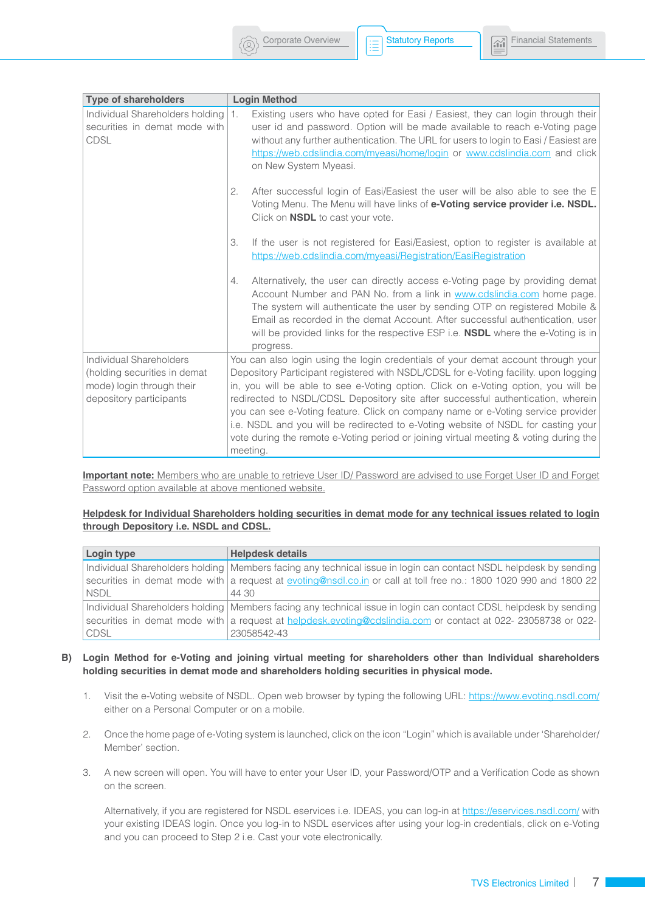



| <b>Type of shareholders</b>                                                                                     | <b>Login Method</b>                                                                                                                                                                                                                                                                                                                                                                                                                                                                                                                                                                                                               |
|-----------------------------------------------------------------------------------------------------------------|-----------------------------------------------------------------------------------------------------------------------------------------------------------------------------------------------------------------------------------------------------------------------------------------------------------------------------------------------------------------------------------------------------------------------------------------------------------------------------------------------------------------------------------------------------------------------------------------------------------------------------------|
| Individual Shareholders holding 1.<br>securities in demat mode with<br><b>CDSL</b>                              | Existing users who have opted for Easi / Easiest, they can login through their<br>user id and password. Option will be made available to reach e-Voting page<br>without any further authentication. The URL for users to login to Easi / Easiest are<br>https://web.cdslindia.com/myeasi/home/login or www.cdslindia.com and click<br>on New System Myeasi.                                                                                                                                                                                                                                                                       |
|                                                                                                                 | After successful login of Easi/Easiest the user will be also able to see the E<br>2.<br>Voting Menu. The Menu will have links of e-Voting service provider i.e. NSDL.<br>Click on <b>NSDL</b> to cast your vote.                                                                                                                                                                                                                                                                                                                                                                                                                  |
|                                                                                                                 | 3.<br>If the user is not registered for Easi/Easiest, option to register is available at<br>https://web.cdslindia.com/myeasi/Registration/EasiRegistration                                                                                                                                                                                                                                                                                                                                                                                                                                                                        |
|                                                                                                                 | Alternatively, the user can directly access e-Voting page by providing demat<br>4.<br>Account Number and PAN No. from a link in www.cdslindia.com home page.<br>The system will authenticate the user by sending OTP on registered Mobile &<br>Email as recorded in the demat Account. After successful authentication, user<br>will be provided links for the respective ESP i.e. <b>NSDL</b> where the e-Voting is in<br>progress.                                                                                                                                                                                              |
| Individual Shareholders<br>(holding securities in demat<br>mode) login through their<br>depository participants | You can also login using the login credentials of your demat account through your<br>Depository Participant registered with NSDL/CDSL for e-Voting facility. upon logging<br>in, you will be able to see e-Voting option. Click on e-Voting option, you will be<br>redirected to NSDL/CDSL Depository site after successful authentication, wherein<br>you can see e-Voting feature. Click on company name or e-Voting service provider<br>i.e. NSDL and you will be redirected to e-Voting website of NSDL for casting your<br>vote during the remote e-Voting period or joining virtual meeting & voting during the<br>meeting. |

**Important note:** Members who are unable to retrieve User ID/ Password are advised to use Forget User ID and Forget Password option available at above mentioned website.

#### **Helpdesk for Individual Shareholders holding securities in demat mode for any technical issues related to login through Depository i.e. NSDL and CDSL.**

| Login type  | <b>Helpdesk details</b>                                                                                            |
|-------------|--------------------------------------------------------------------------------------------------------------------|
|             | Individual Shareholders holding   Members facing any technical issue in login can contact NSDL helpdesk by sending |
|             | securities in demat mode with a request at evoting@nsdl.co.in or call at toll free no.: 1800 1020 990 and 1800 22  |
| <b>NSDL</b> | 44.30                                                                                                              |
|             | Individual Shareholders holding   Members facing any technical issue in login can contact CDSL helpdesk by sending |
|             | securities in demat mode with a request at helpdesk evoting@cdslindia.com or contact at 022-23058738 or 022-       |
| <b>CDSL</b> | 23058542-43                                                                                                        |

## **B) Login Method for e-Voting and joining virtual meeting for shareholders other than Individual shareholders holding securities in demat mode and shareholders holding securities in physical mode.**

- 1. Visit the e-Voting website of NSDL. Open web browser by typing the following URL: <https://www.evoting.nsdl.com/> either on a Personal Computer or on a mobile.
- 2. Once the home page of e-Voting system is launched, click on the icon "Login" which is available under 'Shareholder/ Member' section.
- 3. A new screen will open. You will have to enter your User ID, your Password/OTP and a Verification Code as shown on the screen.

Alternatively, if you are registered for NSDL eservices i.e. IDEAS, you can log-in at <https://eservices.nsdl.com/>with your existing IDEAS login. Once you log-in to NSDL eservices after using your log-in credentials, click on e-Voting and you can proceed to Step 2 i.e. Cast your vote electronically.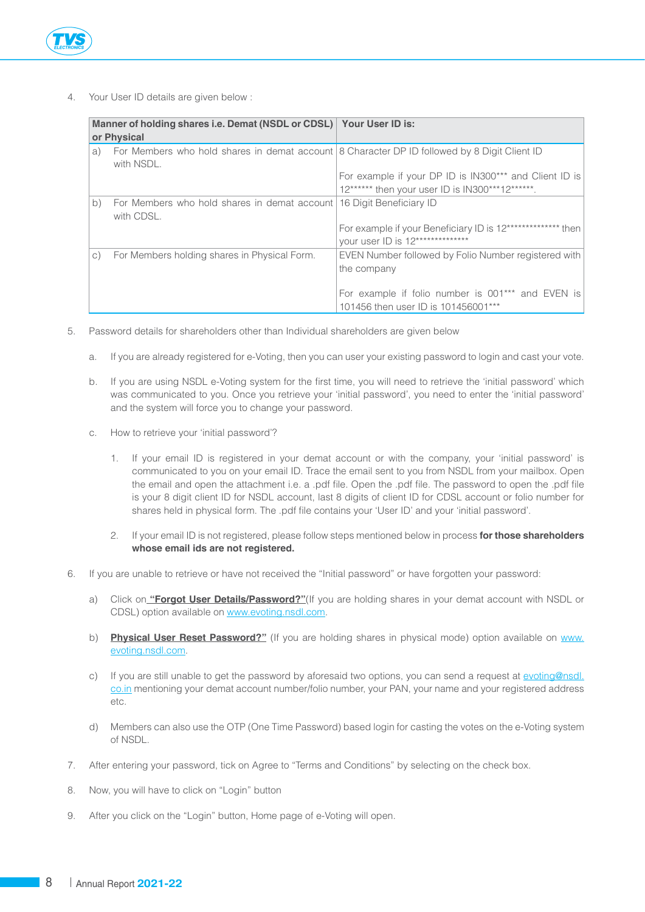

4. Your User ID details are given below :

| Manner of holding shares i.e. Demat (NSDL or CDSL) Your User ID is:<br>or Physical |                                                                                                            |                                                                                                           |  |
|------------------------------------------------------------------------------------|------------------------------------------------------------------------------------------------------------|-----------------------------------------------------------------------------------------------------------|--|
| a)                                                                                 | For Members who hold shares in demat account 8 Character DP ID followed by 8 Digit Client ID<br>with NSDL. |                                                                                                           |  |
|                                                                                    |                                                                                                            | For example if your DP ID is IN300*** and Client ID is<br>12****** then your user ID is IN300***12******. |  |
| b)                                                                                 | For Members who hold shares in demat account 16 Digit Beneficiary ID<br>with CDSL.                         |                                                                                                           |  |
|                                                                                    |                                                                                                            | For example if your Beneficiary ID is 12*************** then<br>your user ID is 12**************          |  |
| $\circ$ )                                                                          | For Members holding shares in Physical Form.                                                               | EVEN Number followed by Folio Number registered with<br>the company                                       |  |
|                                                                                    |                                                                                                            | For example if folio number is 001*** and EVEN is<br>101456 then user ID is 101456001***                  |  |

- 5. Password details for shareholders other than Individual shareholders are given below
	- a. If you are already registered for e-Voting, then you can user your existing password to login and cast your vote.
	- b. If you are using NSDL e-Voting system for the first time, you will need to retrieve the 'initial password' which was communicated to you. Once you retrieve your 'initial password', you need to enter the 'initial password' and the system will force you to change your password.
	- c. How to retrieve your 'initial password'?
		- 1. If your email ID is registered in your demat account or with the company, your 'initial password' is communicated to you on your email ID. Trace the email sent to you from NSDL from your mailbox. Open the email and open the attachment i.e. a .pdf file. Open the .pdf file. The password to open the .pdf file is your 8 digit client ID for NSDL account, last 8 digits of client ID for CDSL account or folio number for shares held in physical form. The .pdf file contains your 'User ID' and your 'initial password'.
		- 2. If your email ID is not registered, please follow steps mentioned below in process **for those shareholders whose email ids are not registered.**
- 6. If you are unable to retrieve or have not received the "Initial password" or have forgotten your password:
	- a) Click on **"Forgot User Details/Password?"**(If you are holding shares in your demat account with NSDL or CDSL) option available on [www.evoting.nsdl.com](http://www.evoting.nsdl.com).
	- b) **Physical User Reset Password?"** (If you are holding shares in physical mode) option available on [www.](http://www.evoting.nsdl.com) [evoting.nsdl.com](http://www.evoting.nsdl.com).
	- c) If you are still unable to get the password by aforesaid two options, you can send a request at [evoting@nsdl.](mailto:evoting@nsdl.co.in) [co.in](mailto:evoting@nsdl.co.in) mentioning your demat account number/folio number, your PAN, your name and your registered address etc.
	- d) Members can also use the OTP (One Time Password) based login for casting the votes on the e-Voting system of NSDL.
- 7. After entering your password, tick on Agree to "Terms and Conditions" by selecting on the check box.
- 8. Now, you will have to click on "Login" button
- 9. After you click on the "Login" button, Home page of e-Voting will open.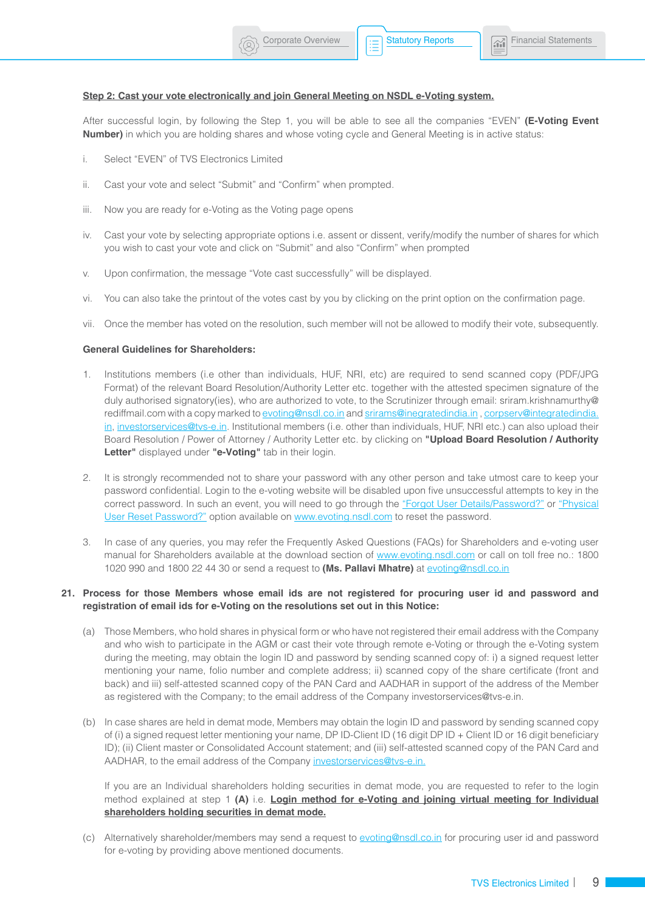### **Step 2: Cast your vote electronically and join General Meeting on NSDL e-Voting system.**

After successful login, by following the Step 1, you will be able to see all the companies "EVEN" **(E-Voting Event Number)** in which you are holding shares and whose voting cycle and General Meeting is in active status:

- i. Select "EVEN" of TVS Electronics Limited
- ii. Cast your vote and select "Submit" and "Confirm" when prompted.
- iii. Now you are ready for e-Voting as the Voting page opens
- iv. Cast your vote by selecting appropriate options i.e. assent or dissent, verify/modify the number of shares for which you wish to cast your vote and click on "Submit" and also "Confirm" when prompted
- v. Upon confirmation, the message "Vote cast successfully" will be displayed.
- vi. You can also take the printout of the votes cast by you by clicking on the print option on the confirmation page.
- vii. Once the member has voted on the resolution, such member will not be allowed to modify their vote, subsequently.

#### **General Guidelines for Shareholders:**

- 1. Institutions members (i.e other than individuals, HUF, NRI, etc) are required to send scanned copy (PDF/JPG Format) of the relevant Board Resolution/Authority Letter etc. together with the attested specimen signature of the duly authorised signatory(ies), who are authorized to vote, to the Scrutinizer through email: [sriram.krishnamurthy@](mailto:sriram.krishnamurthy@rediffmail.com) [rediffmail.com](mailto:sriram.krishnamurthy@rediffmail.com) with a copy marked to [evoting@nsdl.co.in](mailto:evoting@nsdl.co.in) and [srirams@inegratedindia.in](mailto:srirams@inegratedindia.in) , [corpserv@integratedindia.](mailto:corpserv@integratedindia.in) [in](mailto:corpserv@integratedindia.in), [investorservices@tvs-e.in](mailto:investorservices@tvs-e.in). Institutional members (i.e. other than individuals, HUF, NRI etc.) can also upload their Board Resolution / Power of Attorney / Authority Letter etc. by clicking on **"Upload Board Resolution / Authority Letter"** displayed under **"e-Voting"** tab in their login.
- 2. It is strongly recommended not to share your password with any other person and take utmost care to keep your password confidential. Login to the e-voting website will be disabled upon five unsuccessful attempts to key in the correct password. In such an event, you will need to go through the "Forgot User Details/Password?" or "Physical User Reset Password?" option available on [www.evoting.nsdl.com](http://www.evoting.nsdl.com) to reset the password.
- 3. In case of any queries, you may refer the Frequently Asked Questions (FAQs) for Shareholders and e-voting user manual for Shareholders available at the download section of [www.evoting.nsdl.com](http://www.evoting.nsdl.com) or call on toll free no.: 1800 1020 990 and 1800 22 44 30 or send a request to **(Ms. Pallavi Mhatre)** at [evoting@nsdl.co.in](mailto:evoting@nsdl.co.in)

## **21. Process for those Members whose email ids are not registered for procuring user id and password and registration of email ids for e-Voting on the resolutions set out in this Notice:**

- (a) Those Members, who hold shares in physical form or who have not registered their email address with the Company and who wish to participate in the AGM or cast their vote through remote e-Voting or through the e-Voting system during the meeting, may obtain the login ID and password by sending scanned copy of: i) a signed request letter mentioning your name, folio number and complete address; ii) scanned copy of the share certificate (front and back) and iii) self-attested scanned copy of the PAN Card and AADHAR in support of the address of the Member as registered with the Company; to the email address of the Company [investorservices@tvs-e.in](mailto:investorservices@tvs-e.in).
- (b) In case shares are held in demat mode, Members may obtain the login ID and password by sending scanned copy of (i) a signed request letter mentioning your name, DP ID-Client ID (16 digit DP ID + Client ID or 16 digit beneficiary ID); (ii) Client master or Consolidated Account statement; and (iii) self-attested scanned copy of the PAN Card and AADHAR, to the email address of the Company [investorservices@tvs-e.in.](mailto:investorservices@tvs-e.in)

If you are an Individual shareholders holding securities in demat mode, you are requested to refer to the login method explained at step 1 **(A)** i.e. **Login method for e-Voting and joining virtual meeting for Individual shareholders holding securities in demat mode.**

(c) Alternatively shareholder/members may send a request to [evoting@nsdl.co.in](mailto:evoting@nsdl.co.in) for procuring user id and password for e-voting by providing above mentioned documents.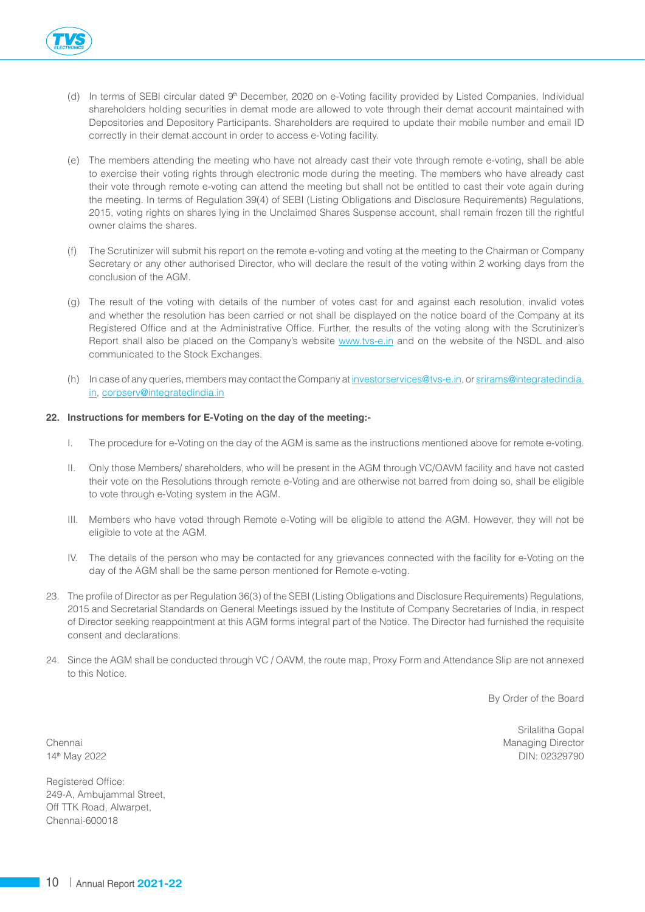

- (d) In terms of SEBI circular dated 9<sup>th</sup> December, 2020 on e-Voting facility provided by Listed Companies, Individual shareholders holding securities in demat mode are allowed to vote through their demat account maintained with Depositories and Depository Participants. Shareholders are required to update their mobile number and email ID correctly in their demat account in order to access e-Voting facility.
- (e) The members attending the meeting who have not already cast their vote through remote e-voting, shall be able to exercise their voting rights through electronic mode during the meeting. The members who have already cast their vote through remote e-voting can attend the meeting but shall not be entitled to cast their vote again during the meeting. In terms of Regulation 39(4) of SEBI (Listing Obligations and Disclosure Requirements) Regulations, 2015, voting rights on shares lying in the Unclaimed Shares Suspense account, shall remain frozen till the rightful owner claims the shares.
- (f) The Scrutinizer will submit his report on the remote e-voting and voting at the meeting to the Chairman or Company Secretary or any other authorised Director, who will declare the result of the voting within 2 working days from the conclusion of the AGM.
- (g) The result of the voting with details of the number of votes cast for and against each resolution, invalid votes and whether the resolution has been carried or not shall be displayed on the notice board of the Company at its Registered Office and at the Administrative Office. Further, the results of the voting along with the Scrutinizer's Report shall also be placed on the Company's website [www.tvs-e.in](http://www.tvs-e.in) and on the website of the NSDL and also communicated to the Stock Exchanges.
- (h) In case of any queries, members may contact the Company at [investorservices@tvs-e.in,](mailto:investorservices@tvs-e.in) or [srirams@integratedindia.](mailto:srirams@integratedindia.in) [in](mailto:srirams@integratedindia.in), [corpserv@integratedindia.in](mailto:corpserv@integratedindia.in)

# **22. Instructions for members for E-Voting on the day of the meeting:-**

- I. The procedure for e-Voting on the day of the AGM is same as the instructions mentioned above for remote e-voting.
- II. Only those Members/ shareholders, who will be present in the AGM through VC/OAVM facility and have not casted their vote on the Resolutions through remote e-Voting and are otherwise not barred from doing so, shall be eligible to vote through e-Voting system in the AGM.
- III. Members who have voted through Remote e-Voting will be eligible to attend the AGM. However, they will not be eligible to vote at the AGM.
- IV. The details of the person who may be contacted for any grievances connected with the facility for e-Voting on the day of the AGM shall be the same person mentioned for Remote e-voting.
- 23. The profile of Director as per Regulation 36(3) of the SEBI (Listing Obligations and Disclosure Requirements) Regulations, 2015 and Secretarial Standards on General Meetings issued by the Institute of Company Secretaries of India, in respect of Director seeking reappointment at this AGM forms integral part of the Notice. The Director had furnished the requisite consent and declarations.
- 24. Since the AGM shall be conducted through VC / OAVM, the route map, Proxy Form and Attendance Slip are not annexed to this Notice.

By Order of the Board

Registered Office: 249-A, Ambujammal Street, Off TTK Road, Alwarpet, Chennai-600018

Srilalitha Gopal Chennai Managing Director Chennai Managing Director Chennai Managing Director Chennai Managing Director 14th May 2022 DIN: 02329790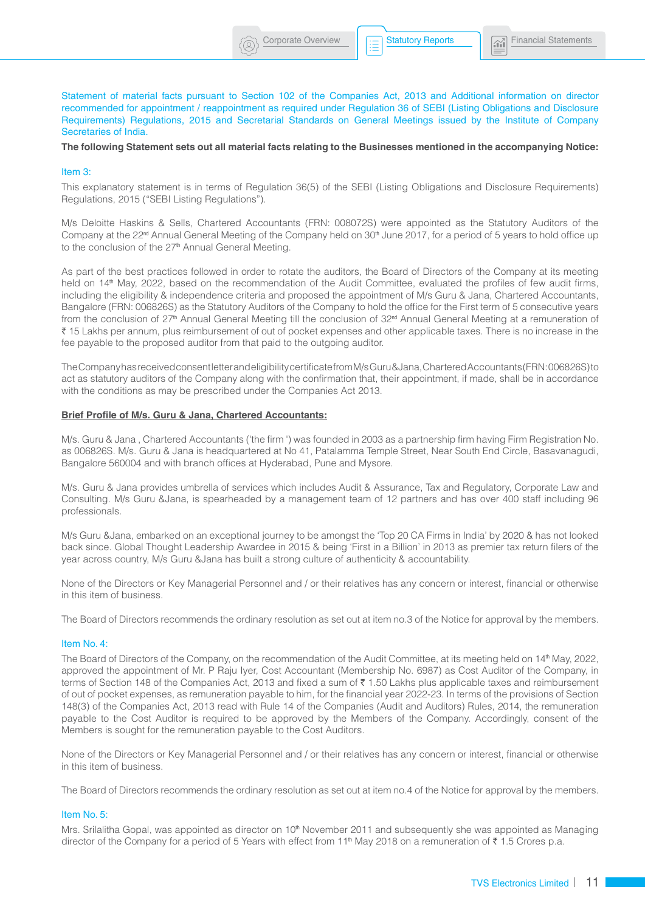Statement of material facts pursuant to Section 102 of the Companies Act, 2013 and Additional information on director recommended for appointment / reappointment as required under Regulation 36 of SEBI (Listing Obligations and Disclosure Requirements) Regulations, 2015 and Secretarial Standards on General Meetings issued by the Institute of Company Secretaries of India.

**The following Statement sets out all material facts relating to the Businesses mentioned in the accompanying Notice:**

#### Item 3:

This explanatory statement is in terms of Regulation 36(5) of the SEBI (Listing Obligations and Disclosure Requirements) Regulations, 2015 ("SEBI Listing Regulations").

M/s Deloitte Haskins & Sells, Chartered Accountants (FRN: 008072S) were appointed as the Statutory Auditors of the Company at the 22<sup>nd</sup> Annual General Meeting of the Company held on 30<sup>th</sup> June 2017, for a period of 5 years to hold office up to the conclusion of the 27<sup>th</sup> Annual General Meeting.

As part of the best practices followed in order to rotate the auditors, the Board of Directors of the Company at its meeting held on 14<sup>th</sup> May, 2022, based on the recommendation of the Audit Committee, evaluated the profiles of few audit firms, including the eligibility & independence criteria and proposed the appointment of M/s Guru & Jana, Chartered Accountants, Bangalore (FRN: 006826S) as the Statutory Auditors of the Company to hold the office for the First term of 5 consecutive years from the conclusion of 27<sup>th</sup> Annual General Meeting till the conclusion of 32<sup>nd</sup> Annual General Meeting at a remuneration of ₹ 15 Lakhs per annum, plus reimbursement of out of pocket expenses and other applicable taxes. There is no increase in the fee payable to the proposed auditor from that paid to the outgoing auditor.

The Company has received consent letter and eligibility certificate fromM/s Guru &Jana, Chartered Accountants(FRN:006826S)to act as statutory auditors of the Company along with the confirmation that, their appointment, if made, shall be in accordance with the conditions as may be prescribed under the Companies Act 2013.

#### **Brief Profile of M/s. Guru & Jana, Chartered Accountants:**

M/s. Guru & Jana , Chartered Accountants ('the firm ') was founded in 2003 as a partnership firm having Firm Registration No. as 006826S. M/s. Guru & Jana is headquartered at No 41, Patalamma Temple Street, Near South End Circle, Basavanagudi, Bangalore 560004 and with branch offices at Hyderabad, Pune and Mysore.

M/s. Guru & Jana provides umbrella of services which includes Audit & Assurance, Tax and Regulatory, Corporate Law and Consulting. M/s Guru &Jana, is spearheaded by a management team of 12 partners and has over 400 staff including 96 professionals.

M/s Guru &Jana, embarked on an exceptional journey to be amongst the 'Top 20 CA Firms in India' by 2020 & has not looked back since. Global Thought Leadership Awardee in 2015 & being 'First in a Billion' in 2013 as premier tax return filers of the year across country, M/s Guru &Jana has built a strong culture of authenticity & accountability.

None of the Directors or Key Managerial Personnel and / or their relatives has any concern or interest, financial or otherwise in this item of business.

The Board of Directors recommends the ordinary resolution as set out at item no.3 of the Notice for approval by the members.

#### Item No. 4:

The Board of Directors of the Company, on the recommendation of the Audit Committee, at its meeting held on 14th May, 2022, approved the appointment of Mr. P Raju Iyer, Cost Accountant (Membership No. 6987) as Cost Auditor of the Company, in terms of Section 148 of the Companies Act, 2013 and fixed a sum of  $\bar{\tau}$  1.50 Lakhs plus applicable taxes and reimbursement of out of pocket expenses, as remuneration payable to him, for the financial year 2022-23. In terms of the provisions of Section 148(3) of the Companies Act, 2013 read with Rule 14 of the Companies (Audit and Auditors) Rules, 2014, the remuneration payable to the Cost Auditor is required to be approved by the Members of the Company. Accordingly, consent of the Members is sought for the remuneration payable to the Cost Auditors.

None of the Directors or Key Managerial Personnel and / or their relatives has any concern or interest, financial or otherwise in this item of business.

The Board of Directors recommends the ordinary resolution as set out at item no.4 of the Notice for approval by the members.

#### Item No. 5:

Mrs. Srilalitha Gopal, was appointed as director on 10<sup>th</sup> November 2011 and subsequently she was appointed as Managing director of the Company for a period of 5 Years with effect from 11<sup>th</sup> May 2018 on a remuneration of  $\bar{\tau}$  1.5 Crores p.a.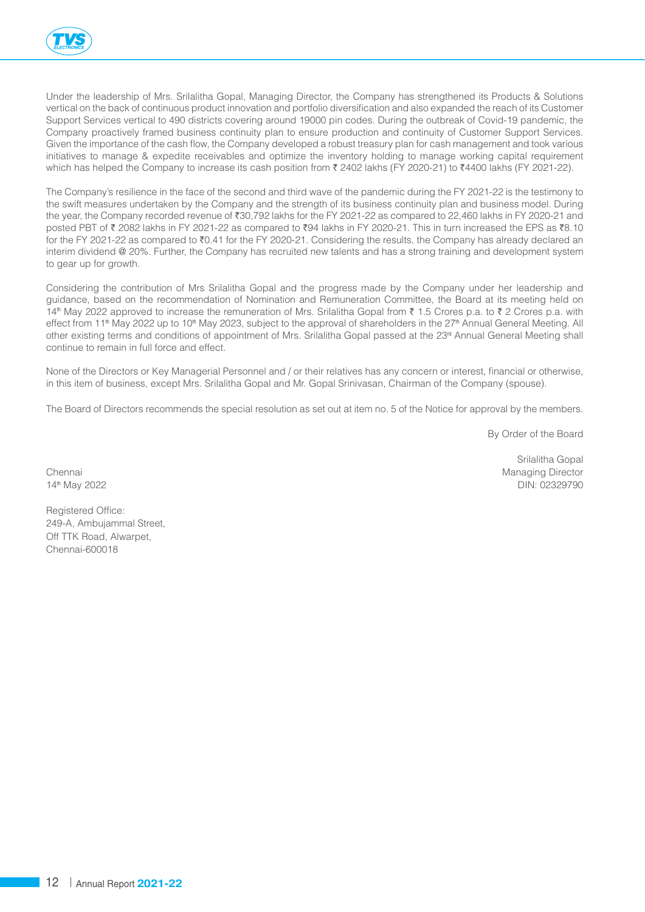

Under the leadership of Mrs. Srilalitha Gopal, Managing Director, the Company has strengthened its Products & Solutions vertical on the back of continuous product innovation and portfolio diversification and also expanded the reach of its Customer Support Services vertical to 490 districts covering around 19000 pin codes. During the outbreak of Covid-19 pandemic, the Company proactively framed business continuity plan to ensure production and continuity of Customer Support Services. Given the importance of the cash flow, the Company developed a robust treasury plan for cash management and took various initiatives to manage & expedite receivables and optimize the inventory holding to manage working capital requirement which has helped the Company to increase its cash position from  $\bar{\tau}$  2402 lakhs (FY 2020-21) to  $\bar{\tau}$ 4400 lakhs (FY 2021-22).

The Company's resilience in the face of the second and third wave of the pandemic during the FY 2021-22 is the testimony to the swift measures undertaken by the Company and the strength of its business continuity plan and business model. During the year, the Company recorded revenue of  $\overline{30,792}$  lakhs for the FY 2021-22 as compared to 22,460 lakhs in FY 2020-21 and posted PBT of ₹ 2082 lakhs in FY 2021-22 as compared to ₹94 lakhs in FY 2020-21. This in turn increased the EPS as ₹8.10 for the FY 2021-22 as compared to  $\overline{z}0.41$  for the FY 2020-21. Considering the results, the Company has already declared an interim dividend @ 20%. Further, the Company has recruited new talents and has a strong training and development system to gear up for growth.

Considering the contribution of Mrs Srilalitha Gopal and the progress made by the Company under her leadership and guidance, based on the recommendation of Nomination and Remuneration Committee, the Board at its meeting held on 14<sup>th</sup> May 2022 approved to increase the remuneration of Mrs. Srilalitha Gopal from ₹ 1.5 Crores p.a. to ₹ 2 Crores p.a. with effect from 11<sup>th</sup> May 2022 up to 10<sup>th</sup> May 2023, subject to the approval of shareholders in the 27<sup>th</sup> Annual General Meeting. All other existing terms and conditions of appointment of Mrs. Srilalitha Gopal passed at the 23<sup>rd</sup> Annual General Meeting shall continue to remain in full force and effect.

None of the Directors or Key Managerial Personnel and / or their relatives has any concern or interest, financial or otherwise, in this item of business, except Mrs. Srilalitha Gopal and Mr. Gopal Srinivasan, Chairman of the Company (spouse).

The Board of Directors recommends the special resolution as set out at item no. 5 of the Notice for approval by the members.

By Order of the Board

Srilalitha Gopal

Chennai Managing Director Chennai Managing Director Number of the Managing Director Number of the Managing Director 14th May 2022 DIN: 02329790

Chennai-600018

Registered Office: 249-A, Ambujammal Street, Off TTK Road, Alwarpet,

12 Annual Report **2021-22**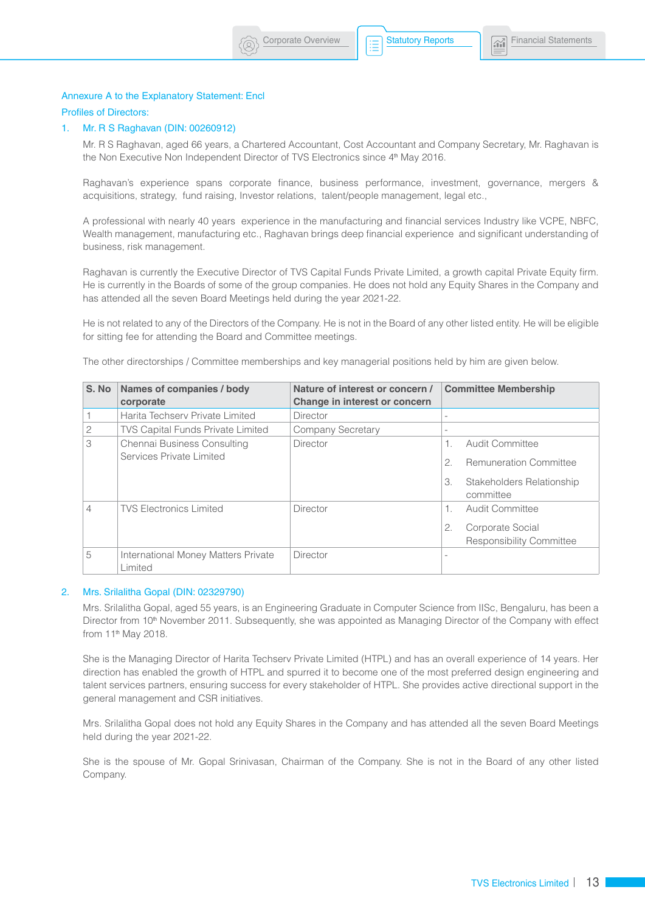# Annexure A to the Explanatory Statement: Encl

# Profiles of Directors:

#### 1. Mr. R S Raghavan (DIN: 00260912)

Mr. R S Raghavan, aged 66 years, a Chartered Accountant, Cost Accountant and Company Secretary, Mr. Raghavan is the Non Executive Non Independent Director of TVS Electronics since 4<sup>th</sup> May 2016.

Raghavan's experience spans corporate finance, business performance, investment, governance, mergers & acquisitions, strategy, fund raising, Investor relations, talent/people management, legal etc.,

A professional with nearly 40 years experience in the manufacturing and financial services Industry like VCPE, NBFC, Wealth management, manufacturing etc., Raghavan brings deep financial experience and significant understanding of business, risk management.

Raghavan is currently the Executive Director of TVS Capital Funds Private Limited, a growth capital Private Equity firm. He is currently in the Boards of some of the group companies. He does not hold any Equity Shares in the Company and has attended all the seven Board Meetings held during the year 2021-22.

He is not related to any of the Directors of the Company. He is not in the Board of any other listed entity. He will be eligible for sitting fee for attending the Board and Committee meetings.

The other directorships / Committee memberships and key managerial positions held by him are given below.

| S. No          | Names of companies / body                               | Nature of interest or concern / | <b>Committee Membership</b>                                                         |  |
|----------------|---------------------------------------------------------|---------------------------------|-------------------------------------------------------------------------------------|--|
|                | corporate                                               | Change in interest or concern   |                                                                                     |  |
|                | Harita Techsery Private Limited                         | Director                        |                                                                                     |  |
| 2              | <b>TVS Capital Funds Private Limited</b>                | Company Secretary               | $\overline{\phantom{a}}$                                                            |  |
| 3              | Chennai Business Consulting<br>Services Private Limited | Director                        | Audit Committee<br><b>Remuneration Committee</b><br>Stakeholders Relationship<br>3. |  |
|                |                                                         |                                 | committee                                                                           |  |
| $\overline{4}$ | <b>TVS Electronics Limited</b>                          | <b>Director</b>                 | Audit Committee<br>Corporate Social<br>2.<br><b>Responsibility Committee</b>        |  |
| 5              | International Money Matters Private<br>Limited          | <b>Director</b>                 |                                                                                     |  |

#### 2. Mrs. Srilalitha Gopal (DIN: 02329790)

Mrs. Srilalitha Gopal, aged 55 years, is an Engineering Graduate in Computer Science from IISc, Bengaluru, has been a Director from 10<sup>th</sup> November 2011. Subsequently, she was appointed as Managing Director of the Company with effect from 11<sup>th</sup> May 2018.

She is the Managing Director of Harita Techserv Private Limited (HTPL) and has an overall experience of 14 years. Her direction has enabled the growth of HTPL and spurred it to become one of the most preferred design engineering and talent services partners, ensuring success for every stakeholder of HTPL. She provides active directional support in the general management and CSR initiatives.

Mrs. Srilalitha Gopal does not hold any Equity Shares in the Company and has attended all the seven Board Meetings held during the year 2021-22.

She is the spouse of Mr. Gopal Srinivasan, Chairman of the Company. She is not in the Board of any other listed Company.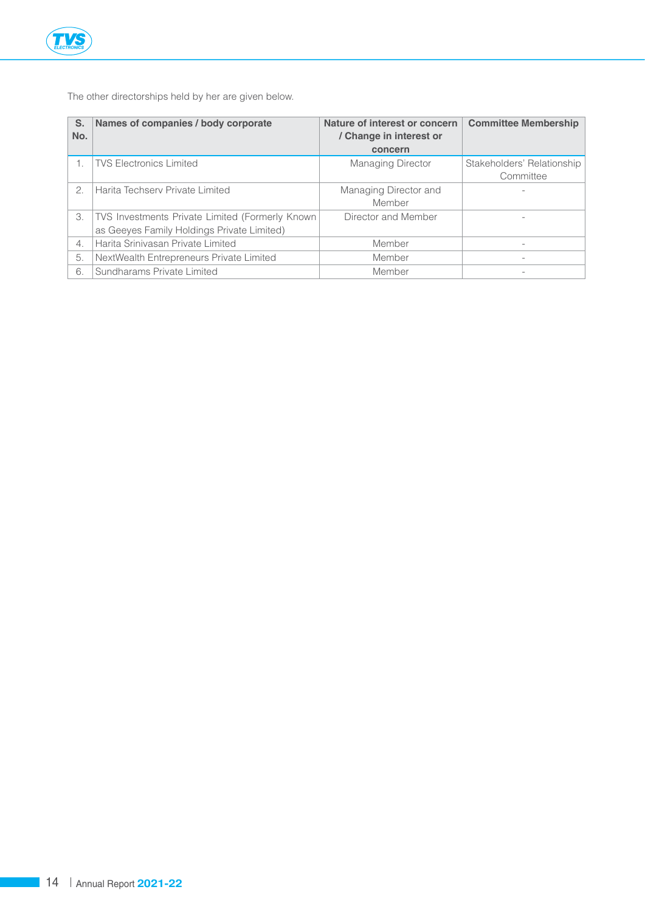

The other directorships held by her are given below.

| S.<br>No.        | Names of companies / body corporate             | Nature of interest or concern<br>/ Change in interest or<br>concern | <b>Committee Membership</b> |
|------------------|-------------------------------------------------|---------------------------------------------------------------------|-----------------------------|
|                  | <b>TVS Electronics Limited</b>                  | <b>Managing Director</b>                                            | Stakeholders' Relationship  |
|                  |                                                 |                                                                     | Committee                   |
| 2.               | Harita Techserv Private Limited                 | Managing Director and                                               |                             |
|                  |                                                 | Member                                                              |                             |
| 3.               | TVS Investments Private Limited (Formerly Known | Director and Member                                                 |                             |
|                  | as Geeyes Family Holdings Private Limited)      |                                                                     |                             |
| $\overline{4}$ . | Harita Srinivasan Private Limited               | Member                                                              |                             |
| 5.               | NextWealth Entrepreneurs Private Limited        | Member                                                              |                             |
| 6.               | Sundharams Private Limited                      | Member                                                              |                             |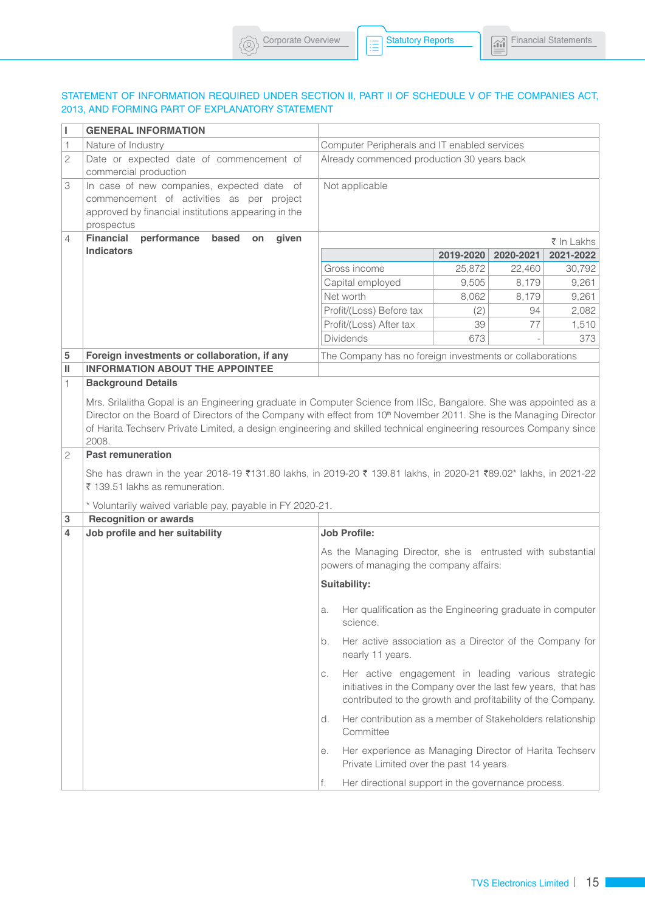# STATEMENT OF INFORMATION REQUIRED UNDER SECTION II, PART II OF SCHEDULE V OF THE COMPANIES ACT, 2013, AND FORMING PART OF EXPLANATORY STATEMENT

 $\left(\textcircled{8}\right)$  Corporate Overview  $\left|\left|\text{Ric} \right|\right|$  Statutory Reports

Statutory Reports

| L      | <b>GENERAL INFORMATION</b>                                                                                                                                                                                                                                                                                                                                              |                                                                                                                                                                                         |           |           |            |
|--------|-------------------------------------------------------------------------------------------------------------------------------------------------------------------------------------------------------------------------------------------------------------------------------------------------------------------------------------------------------------------------|-----------------------------------------------------------------------------------------------------------------------------------------------------------------------------------------|-----------|-----------|------------|
| 1      | Nature of Industry                                                                                                                                                                                                                                                                                                                                                      | Computer Peripherals and IT enabled services                                                                                                                                            |           |           |            |
| 2      | Date or expected date of commencement of<br>commercial production                                                                                                                                                                                                                                                                                                       | Already commenced production 30 years back                                                                                                                                              |           |           |            |
| 3      | In case of new companies, expected date of<br>commencement of activities as per project<br>approved by financial institutions appearing in the<br>prospectus                                                                                                                                                                                                            | Not applicable                                                                                                                                                                          |           |           |            |
| 4      | <b>Financial</b><br>performance<br>based<br>given<br>on                                                                                                                                                                                                                                                                                                                 |                                                                                                                                                                                         |           |           | ₹ In Lakhs |
|        | <b>Indicators</b>                                                                                                                                                                                                                                                                                                                                                       |                                                                                                                                                                                         | 2019-2020 | 2020-2021 | 2021-2022  |
|        |                                                                                                                                                                                                                                                                                                                                                                         | Gross income                                                                                                                                                                            | 25,872    | 22,460    | 30,792     |
|        |                                                                                                                                                                                                                                                                                                                                                                         | Capital employed                                                                                                                                                                        | 9,505     | 8,179     | 9,261      |
|        |                                                                                                                                                                                                                                                                                                                                                                         | Net worth                                                                                                                                                                               | 8,062     | 8,179     | 9,261      |
|        |                                                                                                                                                                                                                                                                                                                                                                         | Profit/(Loss) Before tax                                                                                                                                                                | (2)       | 94        | 2,082      |
|        |                                                                                                                                                                                                                                                                                                                                                                         | Profit/(Loss) After tax                                                                                                                                                                 | 39        | 77        | 1,510      |
|        |                                                                                                                                                                                                                                                                                                                                                                         | Dividends                                                                                                                                                                               | 673       |           | 373        |
| 5      | Foreign investments or collaboration, if any                                                                                                                                                                                                                                                                                                                            | The Company has no foreign investments or collaborations                                                                                                                                |           |           |            |
| Ш      | <b>INFORMATION ABOUT THE APPOINTEE</b>                                                                                                                                                                                                                                                                                                                                  |                                                                                                                                                                                         |           |           |            |
| 1.     | <b>Background Details</b>                                                                                                                                                                                                                                                                                                                                               |                                                                                                                                                                                         |           |           |            |
|        | Mrs. Srilalitha Gopal is an Engineering graduate in Computer Science from IISc, Bangalore. She was appointed as a<br>Director on the Board of Directors of the Company with effect from 10th November 2011. She is the Managing Director<br>of Harita Techserv Private Limited, a design engineering and skilled technical engineering resources Company since<br>2008. |                                                                                                                                                                                         |           |           |            |
| 2      | <b>Past remuneration</b><br>She has drawn in the year 2018-19 ₹131.80 lakhs, in 2019-20 ₹ 139.81 lakhs, in 2020-21 ₹89.02* lakhs, in 2021-22<br>₹ 139.51 lakhs as remuneration.<br>* Voluntarily waived variable pay, payable in FY 2020-21.                                                                                                                            |                                                                                                                                                                                         |           |           |            |
| 3<br>4 | <b>Recognition or awards</b>                                                                                                                                                                                                                                                                                                                                            |                                                                                                                                                                                         |           |           |            |
|        | Job profile and her suitability                                                                                                                                                                                                                                                                                                                                         | <b>Job Profile:</b>                                                                                                                                                                     |           |           |            |
|        |                                                                                                                                                                                                                                                                                                                                                                         | As the Managing Director, she is entrusted with substantial<br>powers of managing the company affairs:                                                                                  |           |           |            |
|        |                                                                                                                                                                                                                                                                                                                                                                         | Suitability:                                                                                                                                                                            |           |           |            |
|        |                                                                                                                                                                                                                                                                                                                                                                         | a. Her qualification as the Engineering graduate in computer<br>science.                                                                                                                |           |           |            |
|        |                                                                                                                                                                                                                                                                                                                                                                         | Her active association as a Director of the Company for<br>b.<br>nearly 11 years.                                                                                                       |           |           |            |
|        |                                                                                                                                                                                                                                                                                                                                                                         | Her active engagement in leading various strategic<br>С.<br>initiatives in the Company over the last few years, that has<br>contributed to the growth and profitability of the Company. |           |           |            |
|        |                                                                                                                                                                                                                                                                                                                                                                         | Her contribution as a member of Stakeholders relationship<br>d.<br>Committee                                                                                                            |           |           |            |
|        |                                                                                                                                                                                                                                                                                                                                                                         | Her experience as Managing Director of Harita Techserv<br>е.<br>Private Limited over the past 14 years.                                                                                 |           |           |            |
|        |                                                                                                                                                                                                                                                                                                                                                                         | Her directional support in the governance process.<br>f.                                                                                                                                |           |           |            |